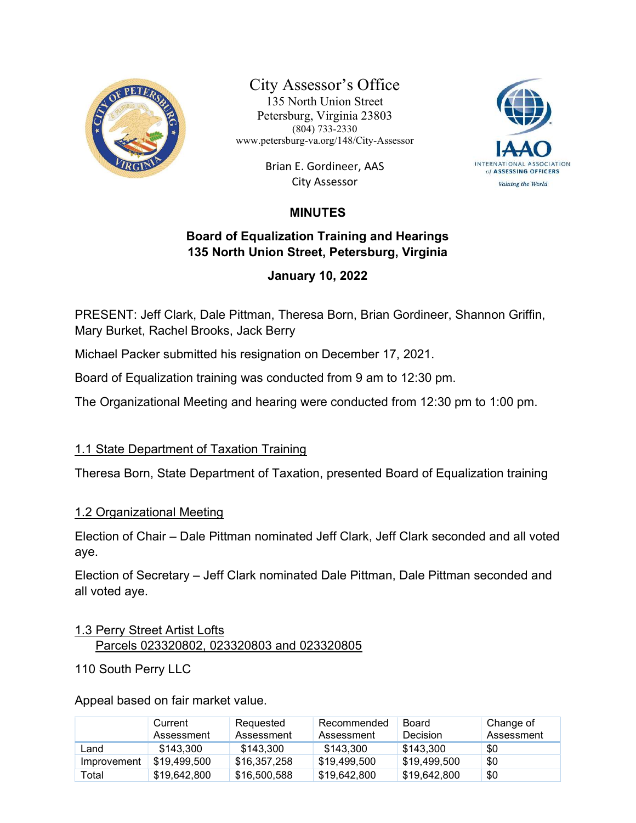

City Assessor's Office 135 North Union Street Petersburg, Virginia 23803 (804) 733-2330 www.petersburg-va.org/148/City-Assessor

> Brian E. Gordineer, AAS City Assessor



# MINUTES

## Board of Equalization Training and Hearings 135 North Union Street, Petersburg, Virginia

## January 10, 2022

PRESENT: Jeff Clark, Dale Pittman, Theresa Born, Brian Gordineer, Shannon Griffin, Mary Burket, Rachel Brooks, Jack Berry

Michael Packer submitted his resignation on December 17, 2021.

Board of Equalization training was conducted from 9 am to 12:30 pm.

The Organizational Meeting and hearing were conducted from 12:30 pm to 1:00 pm.

## 1.1 State Department of Taxation Training

Theresa Born, State Department of Taxation, presented Board of Equalization training

#### 1.2 Organizational Meeting

Election of Chair – Dale Pittman nominated Jeff Clark, Jeff Clark seconded and all voted aye.

Election of Secretary – Jeff Clark nominated Dale Pittman, Dale Pittman seconded and all voted aye.

#### 1.3 Perry Street Artist Lofts Parcels 023320802, 023320803 and 023320805

110 South Perry LLC

Appeal based on fair market value.

|             | Current<br>Assessment | Reguested<br>Assessment | Recommended<br>Assessment | Board<br><b>Decision</b> | Change of<br>Assessment |
|-------------|-----------------------|-------------------------|---------------------------|--------------------------|-------------------------|
| Land        | \$143.300             | \$143.300               | \$143.300                 | \$143,300                | \$0                     |
| Improvement | \$19,499,500          | \$16,357,258            | \$19,499,500              | \$19,499,500             | \$0                     |
| Total       | \$19,642,800          | \$16,500,588            | \$19,642,800              | \$19,642,800             | \$0                     |